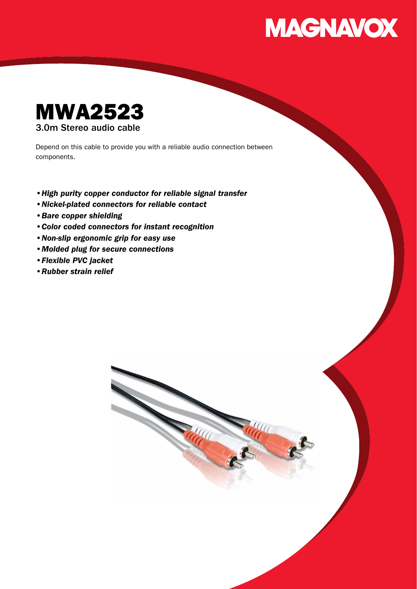



Depend on this cable to provide you with a reliable audio connection between components.

- •High purity copper conductor for reliable signal transfer
- •Nickel-plated connectors for reliable contact
- •Bare copper shielding
- •Color coded connectors for instant recognition
- •Non-slip ergonomic grip for easy use
- •Molded plug for secure connections
- •Flexible PVC jacket
- •Rubber strain relief